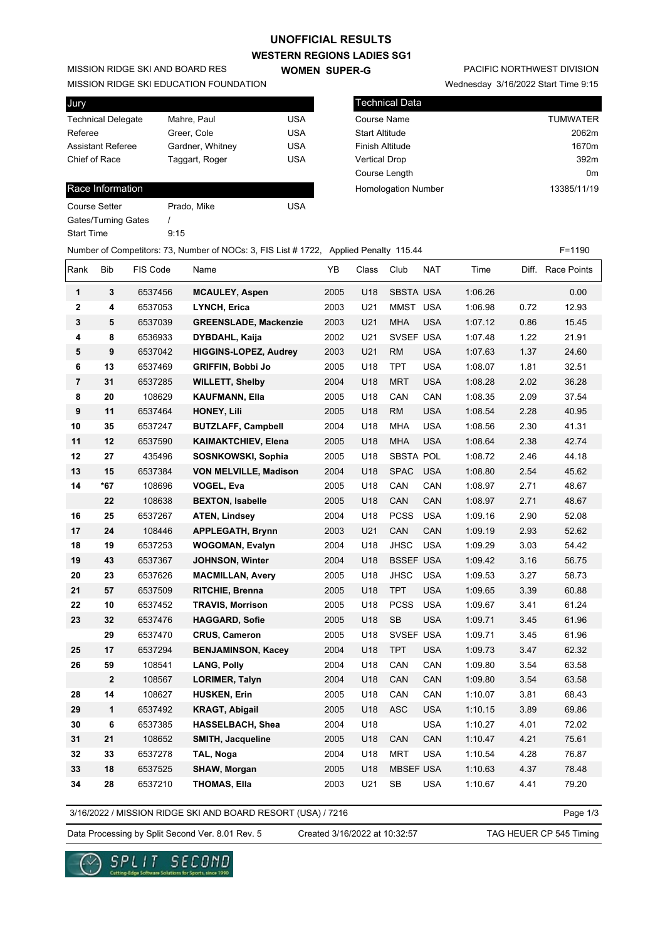#### **WESTERN REGIONS LADIES SG1 UNOFFICIAL RESULTS**

**WOMEN SUPER-G** 

MISSION RIDGE SKI AND BOARD RES

MISSION RIDGE SKI EDUCATION FOUNDATION

| <b>Jury</b>               |                  |            |
|---------------------------|------------------|------------|
| <b>Technical Delegate</b> | Mahre, Paul      | USA        |
| Referee                   | Greer, Cole      | USA        |
| <b>Assistant Referee</b>  | Gardner, Whitney | USA        |
| Chief of Race             | Taggart, Roger   | <b>USA</b> |
|                           |                  |            |

#### Race Information

Course Setter Prado, Mike Course Setter Gates/Turning Gates / Start Time 9:15

# PACIFIC NORTHWEST DIVISION

Wednesday 3/16/2022 Start Time 9:15

| l Technical Data           |                 |
|----------------------------|-----------------|
| Course Name                | <b>TUMWATER</b> |
| <b>Start Altitude</b>      | 2062m           |
| <b>Finish Altitude</b>     | 1670m           |
| <b>Vertical Drop</b>       | 392m            |
| Course Length              | 0 <sub>m</sub>  |
| <b>Homologation Number</b> | 13385/11/19     |
|                            |                 |

## Number of Competitors: 73, Number of NOCs: 3, FIS List # 1722, Applied Penalty 115.44 F=1190

| Rank           | <b>Bib</b>       | FIS Code | Name                         | YB   | Class | Club             | NAT        | Time    | Diff. | <b>Race Points</b> |
|----------------|------------------|----------|------------------------------|------|-------|------------------|------------|---------|-------|--------------------|
| 1              | 3                | 6537456  | <b>MCAULEY, Aspen</b>        | 2005 | U18   | <b>SBSTA USA</b> |            | 1:06.26 |       | 0.00               |
| $\mathbf{2}$   | 4                | 6537053  | <b>LYNCH, Erica</b>          | 2003 | U21   | MMST USA         |            | 1:06.98 | 0.72  | 12.93              |
| 3              | 5                | 6537039  | <b>GREENSLADE, Mackenzie</b> | 2003 | U21   | <b>MHA</b>       | USA        | 1:07.12 | 0.86  | 15.45              |
| 4              | 8                | 6536933  | <b>DYBDAHL, Kaija</b>        | 2002 | U21   | SVSEF USA        |            | 1:07.48 | 1.22  | 21.91              |
| 5              | $\boldsymbol{9}$ | 6537042  | <b>HIGGINS-LOPEZ, Audrey</b> | 2003 | U21   | <b>RM</b>        | <b>USA</b> | 1:07.63 | 1.37  | 24.60              |
| 6              | 13               | 6537469  | <b>GRIFFIN, Bobbi Jo</b>     | 2005 | U18   | <b>TPT</b>       | <b>USA</b> | 1:08.07 | 1.81  | 32.51              |
| $\overline{7}$ | 31               | 6537285  | <b>WILLETT, Shelby</b>       | 2004 | U18   | <b>MRT</b>       | <b>USA</b> | 1:08.28 | 2.02  | 36.28              |
| 8              | 20               | 108629   | <b>KAUFMANN, Ella</b>        | 2005 | U18   | CAN              | CAN        | 1:08.35 | 2.09  | 37.54              |
| 9              | 11               | 6537464  | <b>HONEY, Lili</b>           | 2005 | U18   | <b>RM</b>        | <b>USA</b> | 1:08.54 | 2.28  | 40.95              |
| 10             | 35               | 6537247  | <b>BUTZLAFF, Campbell</b>    | 2004 | U18   | <b>MHA</b>       | <b>USA</b> | 1:08.56 | 2.30  | 41.31              |
| 11             | 12               | 6537590  | <b>KAIMAKTCHIEV, Elena</b>   | 2005 | U18   | <b>MHA</b>       | <b>USA</b> | 1:08.64 | 2.38  | 42.74              |
| 12             | 27               | 435496   | SOSNKOWSKI, Sophia           | 2005 | U18   | SBSTA POL        |            | 1:08.72 | 2.46  | 44.18              |
| 13             | 15               | 6537384  | <b>VON MELVILLE, Madison</b> | 2004 | U18   | <b>SPAC</b>      | <b>USA</b> | 1:08.80 | 2.54  | 45.62              |
| 14             | *67              | 108696   | <b>VOGEL, Eva</b>            | 2005 | U18   | CAN              | CAN        | 1:08.97 | 2.71  | 48.67              |
|                | 22               | 108638   | <b>BEXTON, Isabelle</b>      | 2005 | U18   | CAN              | CAN        | 1:08.97 | 2.71  | 48.67              |
| 16             | 25               | 6537267  | <b>ATEN, Lindsey</b>         | 2004 | U18   | <b>PCSS</b>      | <b>USA</b> | 1:09.16 | 2.90  | 52.08              |
| 17             | 24               | 108446   | <b>APPLEGATH, Brynn</b>      | 2003 | U21   | CAN              | CAN        | 1:09.19 | 2.93  | 52.62              |
| 18             | 19               | 6537253  | <b>WOGOMAN, Evalyn</b>       | 2004 | U18   | <b>JHSC</b>      | <b>USA</b> | 1:09.29 | 3.03  | 54.42              |
| 19             | 43               | 6537367  | <b>JOHNSON, Winter</b>       | 2004 | U18   | <b>BSSEF USA</b> |            | 1:09.42 | 3.16  | 56.75              |
| 20             | 23               | 6537626  | <b>MACMILLAN, Avery</b>      | 2005 | U18   | <b>JHSC</b>      | <b>USA</b> | 1:09.53 | 3.27  | 58.73              |
| 21             | 57               | 6537509  | <b>RITCHIE, Brenna</b>       | 2005 | U18   | <b>TPT</b>       | <b>USA</b> | 1:09.65 | 3.39  | 60.88              |
| 22             | 10               | 6537452  | <b>TRAVIS, Morrison</b>      | 2005 | U18   | <b>PCSS</b>      | <b>USA</b> | 1:09.67 | 3.41  | 61.24              |
| 23             | 32               | 6537476  | <b>HAGGARD, Sofie</b>        | 2005 | U18   | SB               | <b>USA</b> | 1:09.71 | 3.45  | 61.96              |
|                | 29               | 6537470  | <b>CRUS, Cameron</b>         | 2005 | U18   | SVSEF USA        |            | 1:09.71 | 3.45  | 61.96              |
| 25             | 17               | 6537294  | <b>BENJAMINSON, Kacey</b>    | 2004 | U18   | <b>TPT</b>       | <b>USA</b> | 1:09.73 | 3.47  | 62.32              |
| 26             | 59               | 108541   | <b>LANG, Polly</b>           | 2004 | U18   | CAN              | CAN        | 1:09.80 | 3.54  | 63.58              |
|                | $\mathbf{2}$     | 108567   | <b>LORIMER, Talyn</b>        | 2004 | U18   | CAN              | CAN        | 1:09.80 | 3.54  | 63.58              |
| 28             | 14               | 108627   | <b>HUSKEN, Erin</b>          | 2005 | U18   | CAN              | CAN        | 1:10.07 | 3.81  | 68.43              |
| 29             | $\mathbf{1}$     | 6537492  | <b>KRAGT, Abigail</b>        | 2005 | U18   | <b>ASC</b>       | <b>USA</b> | 1:10.15 | 3.89  | 69.86              |
| 30             | 6                | 6537385  | HASSELBACH, Shea             | 2004 | U18   |                  | <b>USA</b> | 1:10.27 | 4.01  | 72.02              |
| 31             | 21               | 108652   | <b>SMITH, Jacqueline</b>     | 2005 | U18   | CAN              | CAN        | 1:10.47 | 4.21  | 75.61              |
| 32             | 33               | 6537278  | TAL, Noga                    | 2004 | U18   | <b>MRT</b>       | <b>USA</b> | 1:10.54 | 4.28  | 76.87              |
| 33             | 18               | 6537525  | <b>SHAW, Morgan</b>          | 2005 | U18   | <b>MBSEF USA</b> |            | 1:10.63 | 4.37  | 78.48              |
| 34             | 28               | 6537210  | <b>THOMAS, Ella</b>          | 2003 | U21   | <b>SB</b>        | <b>USA</b> | 1:10.67 | 4.41  | 79.20              |

3/16/2022 / MISSION RIDGE SKI AND BOARD RESORT (USA) / 7216

Page 1/3

Data Processing by Split Second Ver. 8.01 Rev. 5 Created 3/16/2022 at 10:32:57 TAG HEUER CP 545 Timing

Created 3/16/2022 at 10:32:57

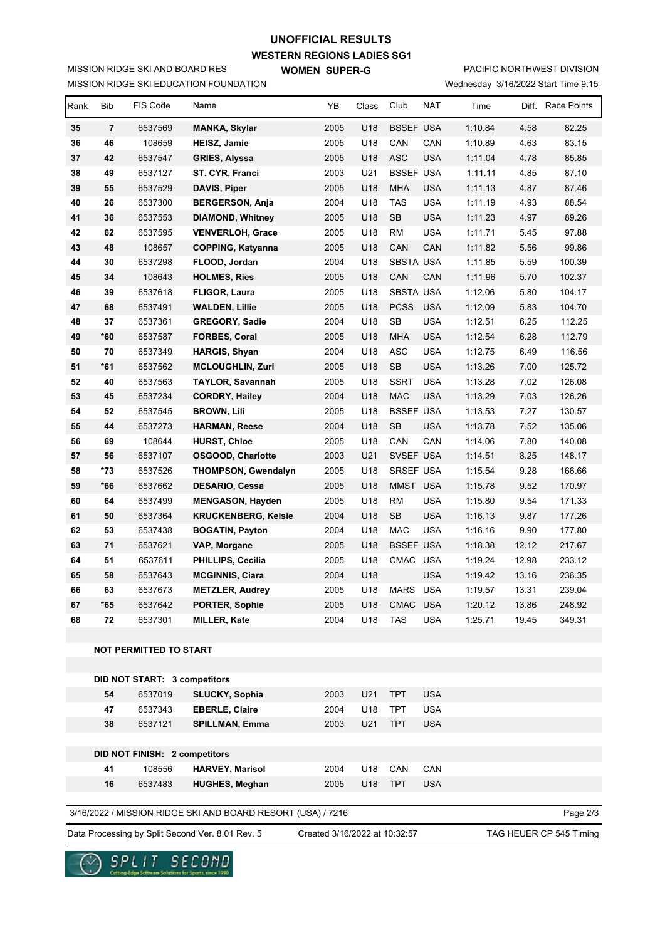## **UNOFFICIAL RESULTS**

MISSION RIDGE SKI EDUCATION FOUNDATION MISSION RIDGE SKI AND BOARD RES

**WESTERN REGIONS LADIES SG1**

**WOMEN SUPER-G** 

Wednesday 3/16/2022 Start Time 9:15 PACIFIC NORTHWEST DIVISION

|    |      |     |      | <b><i>I</i></b> requires and $\frac{1}{2}$ of $\frac{1}{2}$ and $\frac{1}{2}$ and $\frac{1}{2}$ and $\frac{1}{2}$ |
|----|------|-----|------|-------------------------------------------------------------------------------------------------------------------|
| s. | Club | NAT | Time | Diff. Race Points                                                                                                 |

| Rank                                                                    | <b>Bib</b>                                                                                                   | FIS Code                      | Name                       | YB   | Class | Club             | NAT        | Time    |       | Diff. Race Points |
|-------------------------------------------------------------------------|--------------------------------------------------------------------------------------------------------------|-------------------------------|----------------------------|------|-------|------------------|------------|---------|-------|-------------------|
| 35                                                                      | $\overline{7}$                                                                                               | 6537569                       | <b>MANKA, Skylar</b>       | 2005 | U18   | <b>BSSEF USA</b> |            | 1:10.84 | 4.58  | 82.25             |
| 36                                                                      | 46                                                                                                           | 108659                        | <b>HEISZ, Jamie</b>        | 2005 | U18   | CAN              | CAN        | 1:10.89 | 4.63  | 83.15             |
| 37                                                                      | 42                                                                                                           | 6537547                       | <b>GRIES, Alyssa</b>       | 2005 | U18   | ASC              | <b>USA</b> | 1:11.04 | 4.78  | 85.85             |
| 38                                                                      | 49                                                                                                           | 6537127                       | ST. CYR, Franci            | 2003 | U21   | <b>BSSEF USA</b> |            | 1:11.11 | 4.85  | 87.10             |
| 39                                                                      | 55                                                                                                           | 6537529                       | DAVIS, Piper               | 2005 | U18   | <b>MHA</b>       | <b>USA</b> | 1:11.13 | 4.87  | 87.46             |
| 40                                                                      | 26                                                                                                           | 6537300                       | <b>BERGERSON, Anja</b>     | 2004 | U18   | <b>TAS</b>       | <b>USA</b> | 1:11.19 | 4.93  | 88.54             |
| 41                                                                      | 36                                                                                                           | 6537553                       | <b>DIAMOND, Whitney</b>    | 2005 | U18   | <b>SB</b>        | <b>USA</b> | 1:11.23 | 4.97  | 89.26             |
| 42                                                                      | 62                                                                                                           | 6537595                       | <b>VENVERLOH, Grace</b>    | 2005 | U18   | <b>RM</b>        | <b>USA</b> | 1:11.71 | 5.45  | 97.88             |
| 43                                                                      | 48                                                                                                           | 108657                        | <b>COPPING, Katyanna</b>   | 2005 | U18   | CAN              | CAN        | 1:11.82 | 5.56  | 99.86             |
| 44                                                                      | 30                                                                                                           | 6537298                       | FLOOD, Jordan              | 2004 | U18   | <b>SBSTA USA</b> |            | 1:11.85 | 5.59  | 100.39            |
| 45                                                                      | 34                                                                                                           | 108643                        | <b>HOLMES, Ries</b>        | 2005 | U18   | CAN              | CAN        | 1:11.96 | 5.70  | 102.37            |
| 46                                                                      | 39                                                                                                           | 6537618                       | <b>FLIGOR, Laura</b>       | 2005 | U18   | <b>SBSTA USA</b> |            | 1:12.06 | 5.80  | 104.17            |
| 47                                                                      | 68                                                                                                           | 6537491                       | <b>WALDEN, Lillie</b>      | 2005 | U18   | <b>PCSS</b>      | <b>USA</b> | 1:12.09 | 5.83  | 104.70            |
| 48                                                                      | 37                                                                                                           | 6537361                       | <b>GREGORY, Sadie</b>      | 2004 | U18   | SB               | <b>USA</b> | 1:12.51 | 6.25  | 112.25            |
| 49                                                                      | *60                                                                                                          | 6537587                       | <b>FORBES, Coral</b>       | 2005 | U18   | <b>MHA</b>       | <b>USA</b> | 1:12.54 | 6.28  | 112.79            |
| 50                                                                      | 70                                                                                                           | 6537349                       | <b>HARGIS, Shyan</b>       | 2004 | U18   | <b>ASC</b>       | <b>USA</b> | 1:12.75 | 6.49  | 116.56            |
| 51                                                                      | $*61$                                                                                                        | 6537562                       | <b>MCLOUGHLIN, Zuri</b>    | 2005 | U18   | <b>SB</b>        | <b>USA</b> | 1:13.26 | 7.00  | 125.72            |
| 52                                                                      | 40                                                                                                           | 6537563                       | <b>TAYLOR, Savannah</b>    | 2005 | U18   | <b>SSRT</b>      | <b>USA</b> | 1:13.28 | 7.02  | 126.08            |
| 53                                                                      | 45                                                                                                           | 6537234                       | <b>CORDRY, Hailey</b>      | 2004 | U18   | <b>MAC</b>       | <b>USA</b> | 1:13.29 | 7.03  | 126.26            |
| 54                                                                      | 52                                                                                                           | 6537545                       | <b>BROWN, Lili</b>         | 2005 | U18   | <b>BSSEF USA</b> |            | 1:13.53 | 7.27  | 130.57            |
| 55                                                                      | 44                                                                                                           | 6537273                       | <b>HARMAN, Reese</b>       | 2004 | U18   | <b>SB</b>        | <b>USA</b> | 1:13.78 | 7.52  | 135.06            |
| 56                                                                      | 69                                                                                                           | 108644                        | <b>HURST, Chloe</b>        | 2005 | U18   | CAN              | CAN        | 1:14.06 | 7.80  | 140.08            |
| 57                                                                      | 56                                                                                                           | 6537107                       | <b>OSGOOD, Charlotte</b>   | 2003 | U21   | SVSEF USA        |            | 1:14.51 | 8.25  | 148.17            |
| 58                                                                      | *73                                                                                                          | 6537526                       | <b>THOMPSON, Gwendalyn</b> | 2005 | U18   | SRSEF USA        |            | 1:15.54 | 9.28  | 166.66            |
| 59                                                                      | *66                                                                                                          | 6537662                       | DESARIO, Cessa             | 2005 | U18   | MMST USA         |            | 1:15.78 | 9.52  | 170.97            |
| 60                                                                      | 64                                                                                                           | 6537499                       | <b>MENGASON, Hayden</b>    | 2005 | U18   | <b>RM</b>        | <b>USA</b> | 1:15.80 | 9.54  | 171.33            |
| 61                                                                      | 50                                                                                                           | 6537364                       | <b>KRUCKENBERG, Kelsie</b> | 2004 | U18   | <b>SB</b>        | <b>USA</b> | 1:16.13 | 9.87  | 177.26            |
| 62                                                                      | 53                                                                                                           | 6537438                       | <b>BOGATIN, Payton</b>     | 2004 | U18   | <b>MAC</b>       | <b>USA</b> | 1:16.16 | 9.90  | 177.80            |
| 63                                                                      | 71                                                                                                           | 6537621                       | VAP, Morgane               | 2005 | U18   | <b>BSSEF USA</b> |            | 1:18.38 | 12.12 | 217.67            |
| 64                                                                      | 51                                                                                                           | 6537611                       | PHILLIPS, Cecilia          | 2005 | U18   | CMAC             | <b>USA</b> | 1:19.24 | 12.98 | 233.12            |
| 65                                                                      | 58                                                                                                           | 6537643                       | <b>MCGINNIS, Ciara</b>     | 2004 | U18   |                  | <b>USA</b> | 1:19.42 | 13.16 | 236.35            |
| 66                                                                      | 63                                                                                                           | 6537673                       | <b>METZLER, Audrey</b>     | 2005 | U18   | <b>MARS</b>      | <b>USA</b> | 1:19.57 | 13.31 | 239.04            |
| 67                                                                      | *65                                                                                                          | 6537642                       | PORTER, Sophie             | 2005 | U18   | CMAC USA         |            | 1:20.12 | 13.86 | 248.92            |
| 68                                                                      | 72                                                                                                           | 6537301                       | <b>MILLER, Kate</b>        | 2004 | U18   | <b>TAS</b>       | <b>USA</b> | 1:25.71 | 19.45 | 349.31            |
|                                                                         |                                                                                                              | <b>NOT PERMITTED TO START</b> |                            |      |       |                  |            |         |       |                   |
|                                                                         |                                                                                                              |                               |                            |      |       |                  |            |         |       |                   |
|                                                                         |                                                                                                              | DID NOT START: 3 competitors  |                            |      |       |                  |            |         |       |                   |
|                                                                         | 54                                                                                                           | 6537019                       | <b>SLUCKY, Sophia</b>      | 2003 | U21   | <b>TPT</b>       | <b>USA</b> |         |       |                   |
|                                                                         | 47                                                                                                           | 6537343                       | <b>EBERLE, Claire</b>      | 2004 | U18   | <b>TPT</b>       | <b>USA</b> |         |       |                   |
|                                                                         | 38                                                                                                           | 6537121                       | SPILLMAN, Emma             | 2003 | U21   | <b>TPT</b>       | <b>USA</b> |         |       |                   |
|                                                                         |                                                                                                              |                               |                            |      |       |                  |            |         |       |                   |
|                                                                         |                                                                                                              | DID NOT FINISH: 2 competitors |                            |      |       |                  |            |         |       |                   |
|                                                                         | 41                                                                                                           | 108556                        | <b>HARVEY, Marisol</b>     | 2004 | U18   | CAN              | CAN        |         |       |                   |
|                                                                         | 16                                                                                                           | 6537483                       | <b>HUGHES, Meghan</b>      | 2005 | U18   | <b>TPT</b>       | <b>USA</b> |         |       |                   |
|                                                                         |                                                                                                              |                               |                            |      |       |                  |            |         |       |                   |
| 3/16/2022 / MISSION RIDGE SKI AND BOARD RESORT (USA) / 7216<br>Page 2/3 |                                                                                                              |                               |                            |      |       |                  |            |         |       |                   |
|                                                                         | Data Processing by Split Second Ver. 8.01 Rev. 5<br>Created 3/16/2022 at 10:32:57<br>TAG HEUER CP 545 Timing |                               |                            |      |       |                  |            |         |       |                   |